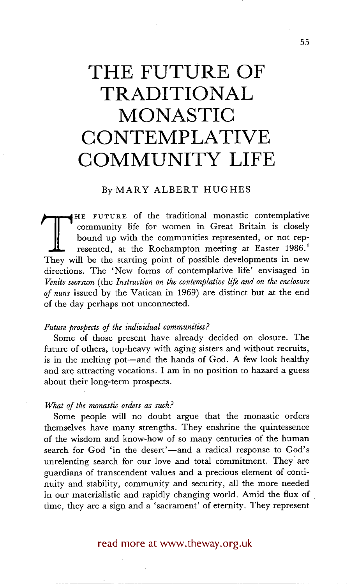# **THE FUTURE OF TRADITIONAL MONASTIC CONTEMPLATIVE COMMUNITY LIFE**

#### ByMARY ALBERT HUGHES

COMMUST THE COUNTROLL CONSUMED THE SET OF STARTING INCOMENDED THE COMMUNIST COMMUNIST CONTROLL THE START OF THE START OF THE START THE START THE START THE START THE START THE START THE START THE START THE START THE START T HE FUTURE of the traditional monastic contemplative community life for women in Great Britain is closely bound up with the communities represented, or not represented, at the Roehampton meeting at Easter 1986.<sup>1</sup> directions. The 'New forms of contemplative life' envisaged in *Venire seorsum* (the *Instruction on the contemplative life and on the enclosure of nuns* issued by the Vatican in 1969) are distinct but at the end of the day perhaps not unconnected.

#### *Future prospects of the individual communities?*

Some of those present have already decided on closure. The future of others, top-heavy with aging sisters and without recruits, is in the melting pot—and the hands of God. A few look healthy and are attracting vocations. I am in no position to hazard a guess about their long-term prospects.

#### *What of the monastic orders as such?*

Some people will no doubt argue that the monastic orders themselves have many strengths. They enshrine the quintessence of the wisdom and know-how of so many centuries of the human search for God 'in the desert'—and a radical response to God's unrelenting search for our love and total commitment. They are guardians of transcendent values and a precious element of continuity and stability, community and security, all the more needed in our materialistic and rapidly changing world. Amid the flux of time, they are a sign and a 'sacrament' of eternity. They represent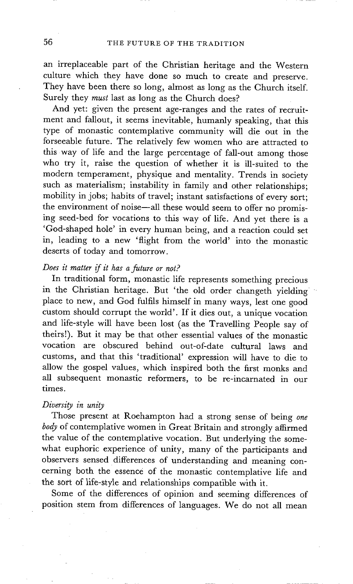an irreplaceable part of the Christian heritage and the Western culture which they have done so much to create and preserve. They have been there so long, almost as long as the Church itself. Surely they *must* last as long as the Church does?

And yet: given the present age-ranges and the rates of recruitment and fallout, it seems inevitable, humanly speaking, that this type of monastic contemplative community will die out in the forseeable future. The relatively few women who are attracted to this way of life and the large percentage of fall-out among those who try it, raise the question of whether it is ill-suited to the modern temperament, physique and mentality. Trends in society such as materialism; instability in family and other relationships; mobility in jobs; habits of travel; instant satisfactions of every sort; the environment of noise--all these would seem to offer no promising seed-bed for vocations to this way of life. And yet there is a 'God-shaped hole' in every human being, and a reaction could set in, leading to a new 'flight from the world' into the monastic deserts of today and tomorrow.

## *Does it matter if it has a future or not?*

In traditional form, monastic life represents something precious in the Christian heritage. But 'the old order changeth yielding place to new, and God fulfils himself in many ways, lest one good custom should corrupt the world'. If it dies out, a unique vocation and life-style will have been lost (as the Travelling People say of theirs!). But it may be that other essential values of the monastic vocation are obscured behind out-of-date cultural laws and customs, and that this 'traditional' expression will have to die to allow the gospel values, which inspired both the first monks and all subsequent monastic reformers, to be re-incarnated in our times.

#### *Diversity in unity*

Those present at Roehampton had a strong sense of being *one body* of contemplative women in Great Britain and strongly affirmed the value of the contemplative vocation. But underlying the somewhat euphoric experience of unity, many of the participants and observers sensed differences of understanding and meaning concerning both the essence of the monastic contemplative life and the sort of life-style and relationships compatible with it.

Some of the differences of opinion and seeming differences of position stem from differences of languages. We do not all mean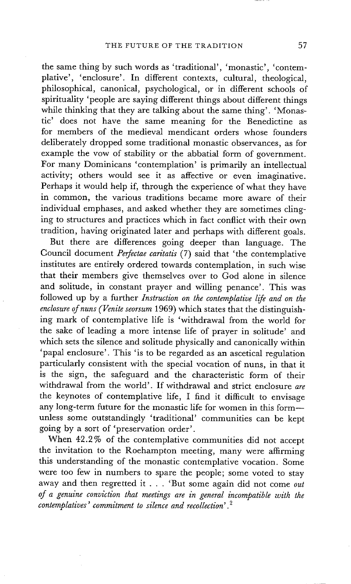the same thing by such words as 'traditional', 'monastic', 'contemplative', 'enclosure'. In different contexts, cultural, theological, philosophical, canonical, psychological, or in different schools of spirituality 'people are saying different things about different things while thinking that they are talking about the same thing'. 'Monastic' does not have the same meaning for the Benedictine as for members of the medieval mendicant orders whose founders deliberately dropped some traditional monastic observances, as for example the vow of stability or the abbatial form of government. For many Dominicans 'contemplation' is primarily an intellectual activity; others would see it as affective or even imaginative. Perhaps it would help if, through the experience of what they have in common, the various traditions became more aware of their individual emphases, and asked whether they are sometimes clinging to structures and practices which in fact conflict with their own tradition, having originated later and perhaps with different goals.

But there are differences going deeper than language. The Council document *Perfectae caritatis (7)* said that 'the contemplative institutes are entirely ordered towards contemplation, in such wise that their members give themselves over to God alone in silence and solitude, in constant prayer and willing penance'. This was followed up by a further *Instruction on the contemplative life and on the enclosure of nuns (Venite seorsum* 1969) which states that the distinguishing mark of contemplative life is 'withdrawal from the world for the sake of leading a more intense life of prayer in solitude' and which sets the silence and solitude physically and canonically within 'papal enclosure'. This 'is to be regarded as an ascetical regulation particularly consistent with the special vocation of nuns, in that it is the sign, the safeguard and the characteristic form of their withdrawal from the world'. If withdrawal and strict enclosure *are*  the keynotes of contemplative life, I find it difficult to envisage any long-term future for the monastic life for women in this form-unless some outstandingly 'traditional' communities can be kept going by a sort of 'preservation order'.

When 42.2% of the contemplative communities did not accept the invitation to the Roehampton meeting, many were affirming this understanding of the monastic contemplative vocation. Some were too few in numbers to spare the people; some voted to stay away and then regretted it . . . 'But some again did not come *out of a genuine conviction that meetings are in general incompatible with the contemplatives' commitment to silence and recollection'.2*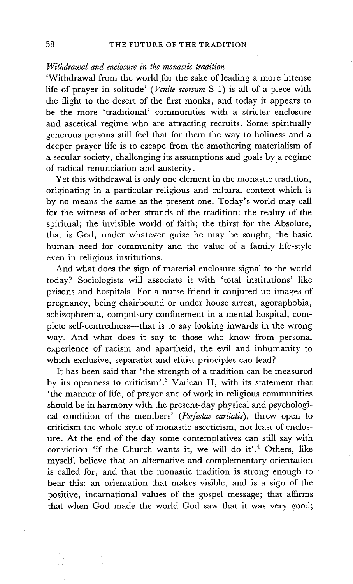### *Withdrawal and enclosure in the monastic tradition*

'Withdrawal from the world for the sake of leading a more intense life of prayer in solitude' *(Venire seorsum* S 1) is all of a piece with the flight to the desert of the first monks, and today it appears to be the more 'traditional' communities with a stricter enclosure and ascetical regime who are attracting recruits. Some spiritually generous persons still feel that for them the way to holiness and a deeper prayer life is to escape from the smothering materialism of a secular society, challenging its assumptions and goals by a regime of radical renunciation and austerity.

Yet this withdrawal is only one element in the monastic tradition, originating in a particular religious and cultural context which is by no means the same as the present one. Today's world may call for the witness of other strands of the tradition: the reality of the spiritual; the invisible world of faith; the thirst for the Absolute, that is God, under whatever guise he may be sought; the basic human need for community and the value of a family life-style even in religious institutions.

And what does the sign of material enclosure signal to the world today? Sociologists will associate it with 'total institutions' like prisons and hospitals. For a nurse friend it conjured up images of pregnancy, being chairbound or under house arrest, agoraphobia, schizophrenia, compulsory confinement in a mental hospital, complete self-centredness--that is to say looking inwards in the wrong way. And what does it say to those who know from personal experience of racism and apartheid, the evil and inhumanity to which exclusive, separatist and elitist principles can lead?

It has been said that 'the strength of a tradition can be measured by its openness to criticism'.<sup>3</sup> Vatican II, with its statement that 'the manner of life, of prayer and of work in religious communities should be in harmony with the present-day physical and psychological condition of the members' *(Perfectae caritatis),* threw open to criticism the whole style of monastic asceticism, not least of enclosure. At the end of the day some contemplatives can still say with conviction 'if the Church wants it, we will do it'.<sup>4</sup> Others, like myself, believe that an alternative and complementary orientation is called for, and that the monastic tradition is strong enough to bear this: an orientation that makes visible, and is a sign of the positive, incarnational values of the gospel message; that affirms that when God made the world God saw that it was very good;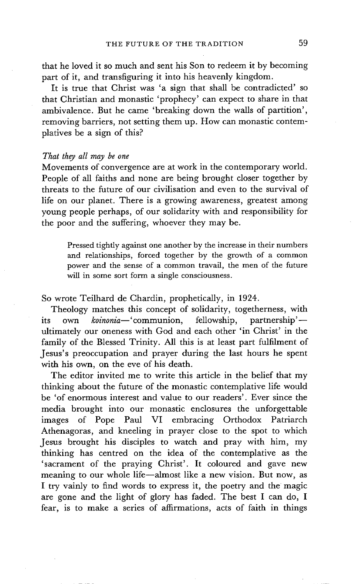that he loved it so much and sent his Son to redeem it by becoming part of it, and transfiguring it into his heavenly kingdom.

It is true that Christ was 'a sign that shall be contradicted' so that Christian and monastic 'prophecy' can expect to share in that ambivalence. But he came 'breaking down the walls of partition', removing barriers, not setting them up. How can monastic contemplatives be a sign of this?

#### *That they all may be one*

Movements of convergence are at work in the contemporary world. People of all faiths and none are being brought closer together by threats to the future of our civilisation and even to the survival of life on our planet. There is a growing awareness, greatest among young people perhaps, of our solidarity with and responsibility for the poor and the suffering, whoever they may be.

Pressed tightly against one another by the increase in their numbers and relationships, forced together by the growth of a common power and the sense of a common travail, the men of the future will in some sort form a single consciousness.

So wrote Teilhard de Chardin, prophetically, in 1924.

Theology matches this concept of solidarity, togetherness, with its own *koinonia*—'communion, fellowship, partnership' ultimately our oneness with God and each other 'in Christ' in the family of the Blessed Trinity. All this is at least part fulfilment of Jesus's preoccupation and praye r during the last hours he spent with his own, on the eve of his death.

The editor invited me to write this article in the belief that my thinking about the future of the monastic contemplative life would be 'of enormous interest and value to our readers'. Ever since the media brought into our monastic enclosures the unforgettable images of Pope Paul VI embracing Orthodox Patriarch Athenagoras, and kneeling in prayer close to the spot to which Jesus brought his disciples to watch and pray with him, my thinking has centred on the idea of the contemplative as the 'sacrament of the praying Christ'. It coloured and gave new meaning to our whole life--almost like a new vision. But now, as I try vainly to find words to express it, the poetry and the magic are gone and the light of glory has faded. The best I can do, I fear, is to make a series of affirmations, acts of faith in things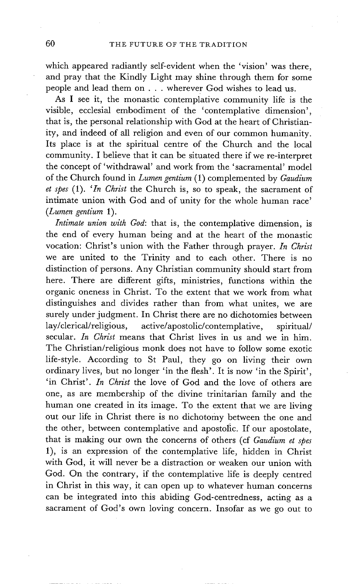which appeared radiantly self-evident when the 'vision' was there, and pray that the Kindly Light may shine through them for some people and lead them on . . . wherever God wishes to lead us.

As I see it, the monastic contemplative community life is the visible, ecclesial embodiment of the 'contemplative dimension', that is, the personal relationship with God at the heart of Christianity, and indeed of all religion and even of our common humanity. Its place is at the spiritual centre of the Church and the local community. I believe that it can be situated there if we re-interpret the concept of 'withdrawal' and work from the 'sacramental' model of the Church found in *Lumen gentium* (1) complemented by *Gaudium et spes* (1). *'In Christ* the Church is, so to speak, the sacrament of intimate union with God and of unity for the whole human race' *(Lumen gentium* 1).

*Intimate union with God:* that is, the contemplative dimension, is the end of every human being and at the heart of the monastic vocation: Christ's union with the Father through prayer. *In Christ*  we are united to the Trinity and to each other. There is no distinction of persons. Any Christian community should start from here. There are different gifts, ministries, functions within the organic oneness in Christ. To the extent that we work from what distinguishes and divides rather than from what unites, we are surely under judgment. In Christ there are no dichotomies between lay/clerical/religious, active/apostolic/contemplative, spiritual/ secular. *In Christ* means that Christ lives in us and we in him. The Christian/religious monk does not have to follow some exotic life-style. According to St Paul, they go on living their own ordinary lives, but no longer 'in the flesh'. It is now 'in the Spirit', 'in Christ'. *In Christ* the love of God and the love of others are one, as are membership of the divine trinitarian family and the human one created in its image. To the extent that we are living out our life in Christ there is no dichotomy between the one and the other, between contemplative and apostolic. If our apostolate, that is making our own the concerns of others (cf *Gaudium et spes*  1), is an expression of the contemplative life, hidden in Christ with God, it will never be a distraction or weaken our union with God. On the contrary, if the contemplative life is deeply centred in Christ in this way, it can open up to whatever human concerns can be integrated into this abiding God-centredness, acting as a sacrament of God's own loving concern. Insofar as we go out to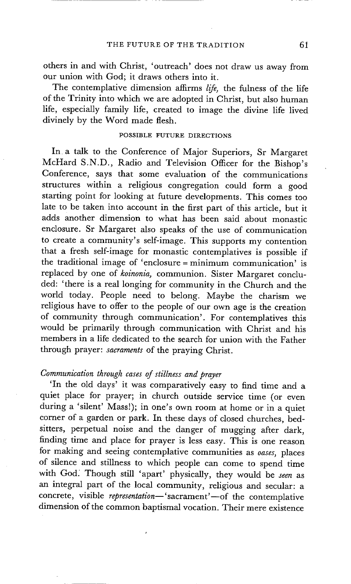others in and with Christ, 'outreach' does not draw us away from our union with God; it draws others into it.

The contemplative dimension affirms *life,* the fulness of the life of the Trinity into which we are adopted in Christ, but also human life, especially family life, created to image the divine life lived divinely by the Word made flesh.

#### POSSIBLE FUTURE DIRECTIONS

In a talk to the Conference of Major Superiors, Sr Margaret McHard S.N.D., Radio and Television Officer for the Bishop's Conference, says that some evaluation of the communications structures within a religious congregation could form a good starting point for looking at future developments. This comes too late to be taken into account in the first part of this article, but it adds another dimension to what has been said about monastic enclosure. Sr Margaret also speaks of the use of communication to create a community's self-image. This supports my contention that a fresh self-image for monastic contemplatives is possible if the traditional image of 'enclosure = minimum communication' is replaced by one of *koinonia,* communion. Sister Margaret concluded: 'there is a real longing for community in the Church and the world today. People need to belong. Maybe the charism we religious have to offer to the people of our own age is the creation of community through communication'. For contemplatives this would be primarily through communication with Christ and his members in a life dedicated to the search for union with the Father through prayer: *sacraments* of the praying Christ.

#### *Communication through cases of stiUness and prayer*

'In the old days' it was comparatively easy to find time and a quiet place for prayer; in church outside service time (or even during a 'silent' Mass!); in one's own room at home or in a quiet corner of a garden or park. In these days of closed churches, bedsitters, perpetual noise and the danger of mugging after dark, finding time and place for prayer is less easy. This is one reason for making and seeing contemplative communities as *oases,* places of silence and stillness to which people can come to spend time with God. Though still 'apart' physically, they would be *seen* as an integral part of the local community, religious and secular: a concrete, visible *representation*—'sacrament'—of the contemplative dimension of the common baptismal vocation. Their mere existence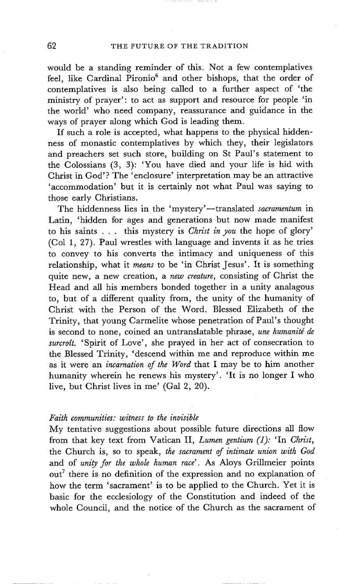would be a standing reminder of this. Not a few contemplatives feel, like Cardinal Pironio<sup>6</sup> and other bishops, that the order of contemplatives is also being called to a further aspect of 'the ministry of prayer': to act as support and resource for people 'in the world' who need company, reassurance and guidance in the ways of prayer along which God is leading them.

If such a role is accepted, what happens to the physical hiddenness of monastic contemplatives by which they, their legislators and preachers set such store, building on St Paul's statement to the Colossians (3, 3): 'You have died and your life is hid with Christ in God'? The 'enclosure' interpretation may be an attractive 'accommodation' but it is certainly not what Paul was saying to those early Christians.

The hiddenness lies in the 'mystery'--translated *sacramentum* in Latin, 'hidden for ages and generations but now made manifest to his saints . . . this mystery is *Christ in you* the hope of glory' (Col 1, 27). Paul wrestles with language and invents it as he tries to convey to his converts the intimacy and uniqueness of this relationship, what it *means* to be 'in Christ Jesus'. It is something quite new, a new creation, a *new creature,* consisting of Christ the Head and all his members bonded together in a unity analagous to, but of a different quality from, the unity of the humanity of Christ with the Person of the Word. Blessed Elizabeth of the Trinity, that young Carmelite whose penetration of Paul's thought is second to none, coined an untranslatable phrase, *une humanité de surcroft.* 'Spirit of Love', she prayed in her act of consecration to the Blessed Trinity, 'descend within me and reproduce within me as it were an *incarnation of the Word* that I may be to him another humanity wherein he renews his mystery'. 'It is no longer I who live, but Christ lives in me' (Gal 2, 20).

#### *Faith communities: witness to the invisible*

My tentative suggestions about possible future directions all flow from that key text from Vatican II, *Lumen gentium (1):* 'In *Christ,*  the Church is, so to speak, *the sacrament of intimate union with God*  and of *unity for the whole human race'.* As Aloys Grillmeier points out<sup>7</sup> there is no definition of the expression and no explanation of how the term 'sacrament' is to be applied to the Church. Yet it is basic for the ecclesiology of the Constitution and indeed of the whole Council, and the notice of the Church as the sacrament of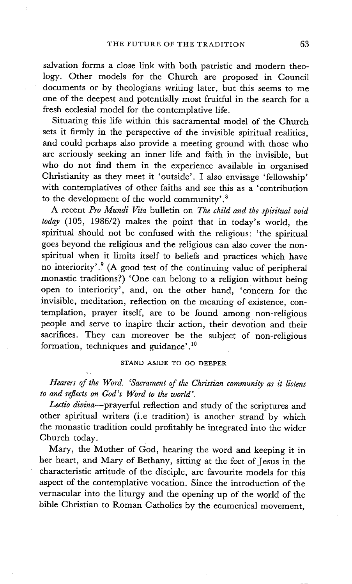salvation forms a close link with both patristic and modern theology. Other models for the Church are proposed in Council documents or by theologians writing later, but this seems to me one of the deepest and potentially most fruitful in the search for a fresh ecclesial model for the contemplative life.

Situating this life within this sacramental model of the Church sets it firmly in the perspective of the invisible spiritual realities. and could perhaps also provide a meeting ground with those who are seriously seeking an inner life and faith in the invisible, but who do not find them in the experience available in organised Christianity as they meet it 'outside'. I also envisage 'fellowship' with contemplatives of other faiths and see this as a 'contribution to the development of the world community'. 8

A recent *Pro Mundi Vita* bulletin on *The child and the spiritual void today* (105, 1986/2) makes the point that in today's world, the spiritual should not be confused with the religious: 'the spiritual goes beyond the religious and the religious can also cover the nonspiritual when it limits itself to beliefs and practices which have no interiority'.9 (A good test of the continuing value of peripheral monastic traditions?) 'One can belong to a religion without being open to interiority', and, on the other hand, 'concern for the invisible, meditation, reflection on the meaning of existence, contemplation, prayer itself, are to be found among non-religious people and serve to inspire their action, their devotion and their sacrifices. They can moreover be the subject of non-religious formation, techniques and guidance'.<sup>10</sup>

#### STAND ASIDE TO GO DEEPER

~.

*Hearers of the Word. 'Sacrament of the Christian community as it listens to and reflects on God's Word to the world'.* 

Lectio divina-prayerful reflection and study of the scriptures and other spiritual writers (i.e tradition) is another strand by which the monastic tradition could profitably be integrated into the wider Church today.

Mary, the Mother of God, hearing the word and keeping it in her heart, and Mary of Bethany, sitting at the feet of Jesus in the characteristic attitude of the disciple, are favourite models for this aspect of the contemplative vocation. Since the introduction of the vernacular into the liturgy and the opening up of the world of the bible Christian to Roman Catholics by the ecumenical movement,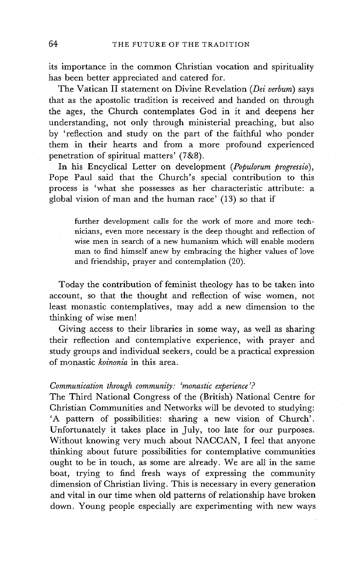its importance in the common Christian vocation and spirituality has been better appreciated and catered for.

The Vatican II statement on Divine Revelation *(Dei verbum)* says that as the apostolic tradition is received and handed on through the ages, the Church contemplates God in it and deepens her understanding, not only through ministerial preaching, but also by 'reflection and study on the part of the faithful who ponder them in their hearts and from a more profound experienced penetration of spiritual matters' (7&8).

In his Encyclical Letter on development *(Populorum progressio),*  Pope Paul said that the Church's special contribution to this process is 'what she possesses as her characteristic attribute: a global vision of man and the human race' (13) so that if

further development calls for the work of more and more technicians, even more necessary is the deep thought and reflection of wise men in search of a new humanism which will enable modern man to find himself anew by embracing the higher values of love and friendship, prayer and contemplation (20).

Today the contribution of feminist theology has to be taken into account, so that the thought and reflection of wise women, not least monastic contemplatives, may add a new dimension to the thinking of wise men!

Giving access to their libraries in some way, as well as sharing their reflection and contemplative experience, with prayer and study groups and individual seekers, could be a practical expression of monastic *koinonia* in this area.

#### *Communication through community: 'monastic experience'?*

The Third National Congress of the (British) National Centre for Christian Communities and Networks will be devoted to studying: 'A pattern of possibilities: sharing a new vision of Church'. Unfortunately it takes place in July, too late for our purposes. Without knowing very much about NACCAN, I feel that anyone thinking about future possibilities for contemplative communities ought to be in touch, as some are already. We are all in the same boat, trying to find fresh ways of expressing the community dimension of Christian living. This is necessary in every generation and vital in our time when old patterns of relationship have broken down. Young people especially are experimenting with new ways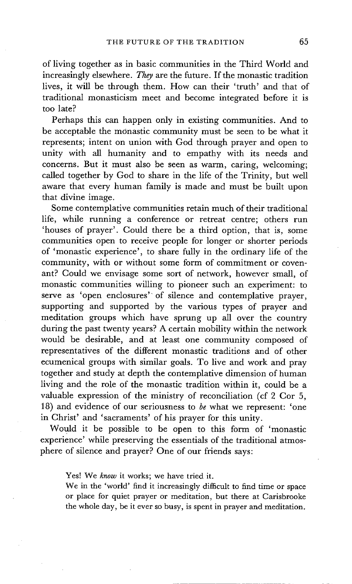of living together as in basic communities in the Third World and increasingly elsewhere. *They* are the future. If the monastic tradition lives, it will be through them. How can their 'truth' and that of traditional monasticism meet and become integrated before it is too late?

Perhaps this can happen only in existing communities. And to be acceptable the monastic community must be seen to be what it represents; intent on union with God through prayer and open to unity with all humanity and to empathy with its needs and concerns. But it must also be seen as warm, caring, welcoming; called together by God to share in the life of the Trinity, but well aware that every human family is made and must be built upon that divine image.

Some contemplative communities retain much of their traditional life, while running a conference or retreat centre; others run 'houses of prayer'. Could there be a third option, that is, some communities open to receive people for longer or shorter periods of 'monastic experience', to share fully in the ordinary life of the community, with or without some form of commitment or covenant? Could we envisage some sort of network, however small, of monastic communities willing to pioneer such an experiment: to serve as 'open enclosures' of silence and contemplative prayer, supporting and supported by the various types of prayer and meditation groups which have sprung up all over the country during the past twenty years? A certain mobility within the network would be desirable, and at least one community composed of representatives of the different monastic traditions and of other ecumenical groups with similar goals. To live and work and pray together and study at depth the contemplative dimension of human living and the role of the monastic tradition within it, could be a valuable expression of the ministry of reconciliation (cf 2 Cor 5, 18) and evidence of our seriousness to *be* what we represent: 'one in Christ' and 'sacraments' of his prayer for this unity.

Would it be possible to be open to this form of 'monastic experience' while preserving the essentials of the traditional atmosphere of silence and prayer? One of our friends says:

Yes! We *know* it works; we have tried it.

We in the 'world' find it increasingly difficult to find time or space or place for quiet prayer or meditation, but there at Carisbrooke the whole day, be it ever so busy, is spent in prayer and meditation.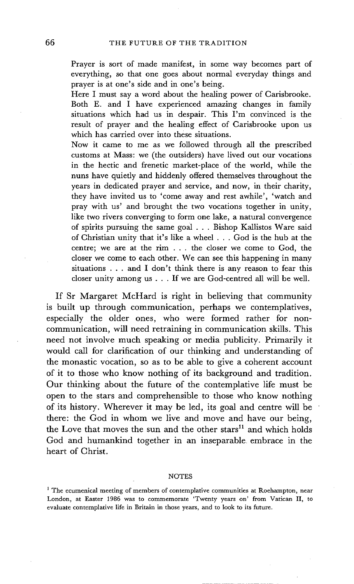Prayer is sort of made manifest, in some way becomes part of everything, so that one goes about normal everyday things and prayer is at one's side and in one's being.

Here I must say a word about the healing power of Carisbrooke. Both E. and I have experienced amazing changes in family situations which had us in despair. This I'm convinced is the result of prayer and the healing effect of Carisbrooke upon us which has carried over into these situations.

Now it came to me as we followed through all the prescribed customs at Mass: we (the outsiders) have lived out our vocations in the hectic and frenetic market-place of the world, while the nuns have quietly and hiddenly offered themselves throughout the years in dedicated prayer and service, and now, in their charity, they have invited us to 'come away and rest awhile', 'watch and pray with us' and brought the two vocations together in unity, like two rivers converging to form one lake, a natural convergence of spirits pursuing the same goal . . . Bishop Kallistos Ware said of Christian unity that it's like a wheel . . . God is the hub at the centre; we are at the rim . . . the closer we come to God, the closer we come to each other. We can see this happening in many situations . . . and I don't think there is any reason to fear this closer unity among us . . . If we are God-centred all will be well.

If Sr Margaret McHard is right in believing that community is built up through communication, perhaps we contemplatives, especially the older ones, who were formed rather for noncommunication, will need retraining in communication skills. This need not involve much speaking or media publicity. Primarily it would call for clarification of our thinking and understanding of the monastic vocation, so as to be able to give a coherent account of it to those who know nothing of its background and tradition. Our thinking about the future of the contemplative life must be open to the stars and comprehensible to those who know nothing of its history. Wherever it may be led, its goal and centre will be there: the God in whom we live and move and have our being, the Love that moves the sun and the other stars<sup>11</sup> and which holds God and humankind together in an inseparable embrace in the heart of Christ.

#### **NOTES**

<sup>&</sup>lt;sup>1</sup> The ecumenical meeting of members of contemplative communities at Roehampton, near London, at Easter 1986 was to commemorate 'Twenty years on' from Vatican II, to evaluate contemplative life in Britain in those years, and to look to its future.